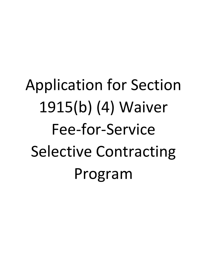# Application for Section 1915(b) (4) Waiver Fee-for-Service Selective Contracting Program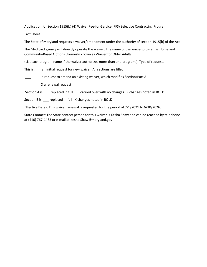Application for Section 1915(b) (4) Waiver Fee-for-Service (FFS) Selective Contracting Program

Fact Sheet

The State of Maryland requests a waiver/amendment under the authority of section 1915(b) of the Act.

The Medicaid agency will directly operate the waiver. The name of the waiver program is Home and Community-Based Options (formerly known as Waiver for Older Adults).

(List each program name if the waiver authorizes more than one program.). Type of request.

This is: \_\_\_ an initial request for new waiver. All sections are filled.

a request to amend an existing waiver, which modifies Section/Part A.

X a renewal request

Section A is: \_\_\_ replaced in full \_\_\_ carried over with no changes X changes noted in BOLD.

Section B is: \_\_\_ replaced in full X changes noted in BOLD.

Effective Dates: This waiver renewal is requested for the period of 7/1/2021 to 6/30/2026.

State Contact: The State contact person for this waiver is Kesha Shaw and can be reached by telephone at (410) 767-1483 or e-mail at Kesha.Shaw@maryland.gov.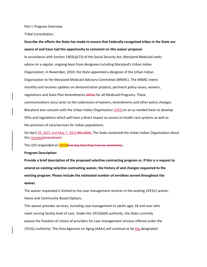Part I: Program Overview

Tribal Consultation:

# **Describe the efforts the State has made to ensure that Federally-recognized tribes in the State are aware of and have had the opportunity to comment on this waiver proposal.**

In accordance with Section 1902(a)(73) of the Social Security Act, Maryland Medicaid seeks advice on a regular, ongoing basis from designees including Maryland's Urban Indian Organization. In November, 2010, the State appointed a designee of the Urban Indian Organization to the Maryland Medicaid Advisory Committee (MMAC). The MMAC meets monthly and receives updates on demonstration projects, pertinent policy issues, waivers, regulations and State Plan Amendments (SPAs) for all Medicaid Programs. These communications occur prior to the submission of waivers, amendments and other policy changes. Maryland also consults with the Urban Indian Organization (UIO) on an as needed basis to develop SPAs and regulations which will have a direct impact on access to health care systems as well as the provision of care/services for Indian populations.

On April 29, 2021 and May 7, 2021 8th 2016, The State contacted the Urban Indian Organization about this renewalamendment.

The UIO responded on **XXXXthat day that they had no comments.** 

#### **Program Description:**

**Provide a brief description of the proposed selective contracting program or, if this is a request to amend an existing selective contracting waiver, the history of and changes requested to the existing program. Please include the estimated number of enrollees served throughout the waiver.**

The waiver requested is limited to the case management services in the existing 1915(c) waiver, Home and Community-Based Options.

This waiver provides services, including case management to adults ages 18 and over who meet nursing facility level of care. Under the 1915(b)(4) authority, the State currently waives the freedom of choice of providers for case management services offered under the 1915(c) authority. The Area Agencies on Aging (AAAs) will continue to be the designated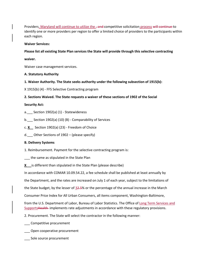Providers. Maryland will continue to utilize the <del>, and c</del>ompetitive solicitation process will continue to identify one or more providers per region to offer a limited choice of providers to the participants within each region.

## **Waiver Services:**

**Please list all existing State Plan services the State will provide through this selective contracting**

**waiver.**

Waiver case management services.

## **A. Statutory Authority**

**1. Waiver Authority. The State seeks authority under the following subsection of 1915(b):**

X 1915(b) (4) - FFS Selective Contracting program

**2. Sections Waived. The State requests a waiver of these sections of 1902 of the Social**

## **Security Act:**

- a. Section  $1902(a)$  (1) Statewideness
- b. Section 1902(a) (10) (B) Comparability of Services
- c. **X** Section 1902(a) (23) Freedom of Choice
- d. Other Sections of  $1902 (p \leq p \leq p \leq p)$

## **B. Delivery Systems**

- 1. Reimbursement. Payment for the selective contracting program is:
- the same as stipulated in the State Plan
- **X** is different than stipulated in the State Plan (please describe)

In accordance with COMAR 10.09.54.22, a fee schedule shall be published at least annually by

the Department, and the rates are increased on July 1 of each year, subject to the limitations of

the State budget, by the lesser of 32.5% or the percentage of the annual increase in the March

Consumer Price Index for All Urban Consumers, all items component, Washington-Baltimore,

from the U.S. Department of Labor, Bureau of Labor Statistics. The Office of Long Term Services and SupportsHealth implements rate adjustments in accordance with these regulatory provisions.

2. Procurement. The State will select the contractor in the following manner:

- \_\_\_ Competitive procurement
- \_\_\_ Open cooperative procurement
- \_\_\_ Sole source procurement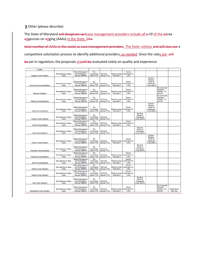## **X** Other (please describe)

The State of Maryland will designate up tcase management providers include all  $\theta$ -19 of the aArea aAgencies on aAging (AAAs) in the State. (the

total number of AAAs in the state) as case management providers. The State -utilizes and will also use a competitive solicitation process to identify additional providers, as needed. Since the rates are-will

be set in regulation, the proposals are will be evaluated solely on quality and experience.

| County                            |                                 |                                                                     |                                     |                                    |                                       |                                              |                                                                       |                                                                            |                                                                |                          |
|-----------------------------------|---------------------------------|---------------------------------------------------------------------|-------------------------------------|------------------------------------|---------------------------------------|----------------------------------------------|-----------------------------------------------------------------------|----------------------------------------------------------------------------|----------------------------------------------------------------|--------------------------|
| Allegany County, Maryland         | Area Agencies on Aging<br>(AAA) | <b>Medical Management</b><br>and Rehabiliations<br>Services (MMARS) | The<br>Coordinating<br>Center (TCC) | <b>Total Care</b><br>Sevices (TCS) | <b>Beatrice Loving</b><br>Heart (BLH) | Service<br>Coordination Inc.<br>(SCI)        |                                                                       |                                                                            |                                                                |                          |
| Anne Arundel County, Maryland     | Area Agencies on Aging<br>(AAA) | Medical Management<br>and Rehabiliations<br>Services (MMARS)        | The<br>Coordinating<br>Center (TCC) | <b>Total Care</b><br>Sevices (TCS) | Beatrice Loving<br>Heart (BLH)        | Service<br>Coordination Inc.<br>$($ SCI $)$  |                                                                       | Southern<br>Maryland<br>Center for<br>Independent<br>Living (SMCIL)        |                                                                |                          |
| Baltimore, Maryland               | Area Agencies on Aging<br>(AAA) | Medical Management<br>and Rehabiliations<br>Services (MMARS)        | The<br>Coordinating<br>Center (TCC) | <b>Total Care</b><br>Sevices (TCS) | Beatrice Loving<br>Heart (BLH)        | Service<br><b>Coordination Inc.</b><br>(SCI) |                                                                       |                                                                            | <b>WJ Community</b><br>Integration<br>Services, LLC<br>WJCIS)  |                          |
| <b>Baltimore County, Maryland</b> | Area Agencies on Aging<br>(AAA) | <b>Medical Management</b><br>and Rehabiliations<br>Services (MMARS) | The<br>Coordinating<br>Center (TCC) | <b>Total Care</b><br>Sevices (TCS) | <b>Beatrice Loving</b><br>Heart (BLH) | Service<br>Coordination Inc.<br>(SCI)        |                                                                       |                                                                            | <b>WJ Community</b><br>Integration<br>Services, LLC<br>WJCIS)  |                          |
| <b>Calvert County, Marvland</b>   | Area Agencies on Aging<br>(AAA) | Medical Management<br>and Rehabiliations<br>Services (MMARS)        | The<br>Coordinating<br>Center (TCC) | <b>Total Care</b><br>Sevices (TCS) | <b>Beatrice Loving</b><br>Heart (BLH) | Service<br>Coordination Inc.<br>(SCI)        |                                                                       | Southern<br>Maryland<br><b>Center</b> for<br>Independent<br>Living (SMCIL) |                                                                |                          |
| Caroline County, Maryland         | Area Agencies on Aging<br>(AAA) | <b>Medical Management</b><br>and Rehabiliations<br>Services (MMARS) | The<br>Coordinating<br>Center (TCC) | <b>Total Care</b><br>Sevices (TCS) |                                       |                                              | <b>Bav Area</b><br><b>Center for</b><br>Independent<br>Living (BACIL) |                                                                            |                                                                |                          |
| Carroll County, Maryland          | Area Agencies on Aging<br>(AAA) | <b>Medical Management</b><br>and Rehabiliations<br>Services (MMARS) | The<br>Coordinating<br>Center (TCC) | <b>Total Care</b><br>Sevices (TCS) | Beatrice Loving<br>Heart (BLH)        | Service<br>Coordination Inc.<br>(SCI)        |                                                                       |                                                                            |                                                                |                          |
| Cecil County, Maryland            | Area Agencies on Aging<br>(AAA) | Medical Management<br>and Rehabiliations<br>Services (MMARS)        | The<br>Coordinating<br>Center (TCC) | <b>Total Care</b><br>Sevices (TCS) |                                       |                                              | <b>Bay Area</b><br><b>Center for</b><br>Independent<br>Living (BACIL) |                                                                            |                                                                |                          |
| Charles County, Maryland          | Area Agencies on Aging<br>(AAA) | Medical Management<br>and Rehabiliations<br>Services (MMARS)        | The<br>Coordinating<br>Center (TCC) | <b>Total Care</b><br>Sevices (TCS) | <b>Beatrice Loving</b><br>Heart (BLH) | Service<br>Coordination Inc.<br>(SCI)        |                                                                       | Southern<br>Marvland<br>Center for<br>Independent<br>Living (SMCIL)        |                                                                |                          |
| Dorchester County, Maryland       | Area Agencies on Aging<br>(AAA) | <b>Medical Management</b><br>and Rehabiliations<br>Services (MMARS) | The<br>Coordinating<br>Center (TCC) | <b>Total Care</b><br>Sevices (TCS) |                                       |                                              | <b>Bay Area</b><br><b>Center for</b><br>Independent<br>Living (BACIL) |                                                                            |                                                                |                          |
| <b>Frederick County, Maryland</b> | Area Agencies on Aging<br>(AAA) | Medical Management<br>and Rehabiliations<br>Services (MMARS)        | The<br>Coordinating<br>Center (TCC) | <b>Total Care</b><br>Sevices (TCS) | <b>Beatrice Loving</b><br>Heart (BLH) | Service<br>Coordination Inc.<br>$($ SCD      |                                                                       |                                                                            |                                                                |                          |
| Garrett County, Maryland          | Area Agencies on Aging<br>(AAA) | Medical Management<br>and Rehabiliations<br>Services (MMARS)        | The<br>Coordinating<br>Center (TCC) | <b>Total Care</b><br>Sevices (TCS) | <b>Beatrice Loving</b><br>Heart (BLH) | Service<br>Coordination Inc.<br>$($ SCI $)$  |                                                                       |                                                                            |                                                                |                          |
| Harford County, Maryland          | Area Agencies on Aging<br>(AAA) | <b>Medical Management</b><br>and Rehabiliations<br>Services (MMARS) | The<br>Coordinating<br>Center (TCC) | <b>Total Care</b><br>Sevices (TCS) | Beatrice Loving<br>Heart (BLH)        | Service<br>Coordination Inc.<br>(SCI)        |                                                                       |                                                                            |                                                                |                          |
| Howard County, Maryland           | Area Agencies on Aging<br>(AAA) | Medical Management<br>and Rehabiliations<br>Services (MMARS)        | The<br>Coordinating<br>Center (TCC) | <b>Total Care</b><br>Sevices (TCS) | Beatrice Loving<br>Heart (BLH)        | Service<br>Coordination Inc.<br>$($ SCI $)$  |                                                                       |                                                                            |                                                                |                          |
| Kent County, Maryland             | Area Agencies on Aging<br>(AAA) | Medical Management<br>and Rehabiliations<br>Services (MMARS)        | The<br>Coordinating<br>Center (TCC) | <b>Total Care</b><br>Sevices (TCS) |                                       |                                              | <b>Bay Area</b><br><b>Center for</b><br>Independent<br>Living (BACIL) |                                                                            |                                                                |                          |
| Montgomery County, Maryland       | Area Agencies on Aging<br>(AAA) | <b>Medical Management</b><br>and Rehabiliations<br>Services (MMARS) | The<br>Coordinating<br>Center (TCC) | <b>Total Care</b><br>Sevices (TCS) | <b>Beatrice Loving</b><br>Heart (BLH) | Service<br>Coordination Inc.<br>(SCI)        |                                                                       |                                                                            | <b>WJ Community</b><br>Integration<br>Services, LLC<br>(WJCIS) | Independence<br>Now (IN) |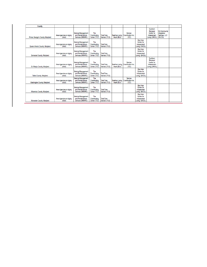| County                           |                                 |                                                                     |                                     |                                    |             |                                                         |                                                                       |                                                                            |                                                                |  |
|----------------------------------|---------------------------------|---------------------------------------------------------------------|-------------------------------------|------------------------------------|-------------|---------------------------------------------------------|-----------------------------------------------------------------------|----------------------------------------------------------------------------|----------------------------------------------------------------|--|
| Prince George's County, Maryland | Area Agencies on Aging<br>(AAA) | <b>Medical Management</b><br>and Rehabiliations<br>Services (MMARS) | The<br>Coordinating<br>Center (TCC) | <b>Total Care</b><br>Sevices (TCS) | Heart (BLH) | Service<br>Beatrice Loving   Coordination Inc.<br>(SCI) |                                                                       | Southern<br>Marvland<br><b>Center for</b><br>Independent<br>Living (SMCIL) | <b>WJ Community</b><br>Integration<br>Services, LLC<br>(WJCIS) |  |
| Queen Anne's County, Maryland    | Area Agencies on Aging<br>(AAA) | <b>Medical Management</b><br>and Rehabiliations<br>Services (MMARS) | The<br>Coordinating<br>Center (TCC) | <b>Total Care</b><br>Sevices (TCS) |             |                                                         | <b>Bav Area</b><br><b>Center for</b><br>Independent<br>Living (BACIL) |                                                                            |                                                                |  |
| Somerset County, Maryland        | Area Agencies on Aging<br>(AAA) | <b>Medical Management</b><br>and Rehabiliations<br>Services (MMARS) | The<br>Coordinating<br>Center (TCC) | <b>Total Care</b><br>Sevices (TCS) |             |                                                         | <b>Bay Area</b><br>Center for<br>Independent<br>Living (BACIL)        |                                                                            |                                                                |  |
| St. Mary's County, Maryland      | Area Agencies on Aging<br>(AAA) | <b>Medical Management</b><br>and Rehabiliations<br>Services (MMARS) | The<br>Coordinating<br>Center (TCC) | <b>Total Care</b><br>Sevices (TCS) | Heart (BLH) | Service<br>Beatrice Loving   Coordination Inc.<br>(SCI) |                                                                       | Southern<br>Marvland<br><b>Center for</b><br>Independent<br>Living (SMCIL) |                                                                |  |
| <b>Talbot County, Maryland</b>   | Area Agencies on Aging<br>(AAA) | <b>Medical Management</b><br>and Rehabiliations<br>Services (MMARS) | The<br>Coordinating<br>Center (TCC) | <b>Total Care</b><br>Sevices (TCS) |             |                                                         | <b>Bay Area</b><br>Center for<br>Independent<br>Living (BACIL)        |                                                                            |                                                                |  |
| Washington County, Maryland      | Area Agencies on Aging<br>(AAA) | <b>Medical Management</b><br>and Rehabiliations<br>Services (MMARS) | The<br>Coordinating<br>Center (TCC) | <b>Total Care</b><br>Sevices (TCS) | Heart (BLH) | Service<br>Beatrice Loving Coordination Inc.<br>(SCI)   |                                                                       |                                                                            |                                                                |  |
| <b>Wicomico County, Maryland</b> | Area Agencies on Aging<br>(AAA) | <b>Medical Management</b><br>and Rehabiliations<br>Services (MMARS) | The<br>Coordinating<br>Center (TCC) | <b>Total Care</b><br>Sevices (TCS) |             |                                                         | <b>Bay Area</b><br>Center for<br>Independent<br>Living (BACIL)        |                                                                            |                                                                |  |
| Worcester County, Maryland       | Area Agencies on Aging<br>(AAA) | <b>Medical Management</b><br>and Rehabiliations<br>Services (MMARS) | The<br>Coordinating<br>Center (TCC) | <b>Total Care</b><br>Sevices (TCS) |             |                                                         | <b>Bay Area</b><br><b>Center for</b><br>Independent<br>Living (BACIL) |                                                                            |                                                                |  |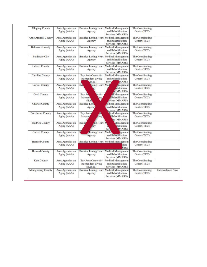| <b>Allegany County</b>     | Area Agencies on<br>Aging (AAA) | Beatrice Loving Heart Medical Management<br>Agency           | and Rehabilitation<br>Services (MMARS)                                             | The Coordinating<br>Center (TCC) |                         |
|----------------------------|---------------------------------|--------------------------------------------------------------|------------------------------------------------------------------------------------|----------------------------------|-------------------------|
| <b>Anne Arundel County</b> | Area Agencies on<br>Aging (AAA) | <b>Beatrice Loving Heart</b><br>Agency                       | <b>Medical Management</b><br>and Rehabilitation<br>Services (MMARS)                | The Coordinating<br>Center (TCC) |                         |
| <b>Baltimore County</b>    | Area Agencies on<br>Aging (AAA) | <b>Beatrice Loving Heart</b><br>Agency                       | <b>Medical Management</b><br>and Rehabilitation<br>Services (MMARS)                | The Coordinating<br>Center (TCC) |                         |
| <b>Baltimore City</b>      | Area Agencies on<br>Aging (AAA) | <b>Beatrice Loving Heart</b><br>Agency                       | <b>Medical Management</b><br>and Rehabilitation<br>Services (MMARS)                | The Coordinating<br>Center (TCC) |                         |
| <b>Calvert County</b>      | Area Agencies on<br>Aging (AAA) | <b>Beatrice Loving Heart</b><br>Agency                       | <b>Medical Management</b><br>and Rehabilitation<br>Services (MMARS)                | The Coordinating<br>Center (TCC) |                         |
| <b>Caroline County</b>     | Area Agencies on<br>Aging (AAA) | Bay Area Center for<br><b>Independent Living</b><br>$ACIL$ ) | Medical Management<br>and Rehabilitation<br>Servi<br><b>MARS</b> )                 | The Coordinating<br>Center (TCC) |                         |
| <b>Carroll County</b>      | Area Agencies on<br>Aging (AAA) | wing Heart<br><b>Bc.</b>                                     | Med<br>magement<br>abilitation<br><b>s</b> (MMARS)                                 | The Coordinating<br>Center (TCC) |                         |
| <b>Cecil County</b>        | Area Agencies on<br>Aging (AAA) | Bay Ar<br>er for<br>Independ<br>ing.<br>(BA)                 | al Management<br><b>Rehabilitation</b><br>rvices (MMARS)                           | The Coordinating<br>Center (TCC) |                         |
| <b>Charles County</b>      | Area Agencies on<br>Aging (AAA) | <b>Beatrice Lov</b><br>Agency                                | ledical Management<br>and Rehabilitation<br>ervices (MMARS)                        | The Coordinating<br>Center (TCC) |                         |
| <b>Dorchester County</b>   | Area Agencies on<br>Aging (AAA) | Bay Area<br>ving<br>Indepen                                  | dical Management<br>Rehabilitation<br>es (MMARS)                                   | The Coordinating<br>Center (TCC) |                         |
| <b>Fredrick County</b>     | Area Agencies on<br>Aging (AAA) | Beatr<br>ing Heart<br>nev                                    | Management<br>bilitation<br>Ser<br>(MARS)                                          | The Coordinating<br>Center (TCC) |                         |
| <b>Garrett County</b>      | Area Agencies on<br>Aging (AAA) | Loving Heart<br>Agency                                       | Medic<br>agement<br>and Rehabilitation<br>Services (MMARS)                         | The Coordinating<br>Center (TCC) |                         |
| <b>Harford County</b>      | Area Agencies on<br>Aging (AAA) | <b>Beatrice Loving Heart</b>                                 | Medical Management<br>tion<br>ARS)                                                 | The Coordinating<br>Center (TCC) |                         |
| <b>Howard County</b>       | Area Agencies on<br>Aging (AAA) | Agency                                                       | Beatrice Loving Heart Medical Management<br>and Rehabilitation<br>Services (MMARS) | The Coordinating<br>Center (TCC) |                         |
| <b>Kent County</b>         | Area Agencies on<br>Aging (AAA) | Bay Area Center for<br><b>Independent Living</b><br>(BACIL)  | Medical Management<br>and Rehabilitation<br>Services (MMARS)                       | The Coordinating<br>Center (TCC) |                         |
| <b>Montgomery County</b>   | Area Agencies on<br>Aging (AAA) | <b>Beatrice Loving Heart</b><br>Agency                       | <b>Medical Management</b><br>and Rehabilitation<br>Services (MMARS)                | The Coordinating<br>Center (TCC) | <b>Independence Now</b> |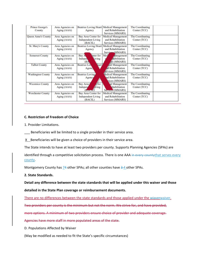| <b>Prince George's</b><br>County | Area Agencies on<br>Aging (AAA) | Agency                                                       | Beatrice Loving Heart   Medical Management<br>and Rehabilitation<br>Services (MMARS) | The Coordinating<br>Center (TCC) |  |
|----------------------------------|---------------------------------|--------------------------------------------------------------|--------------------------------------------------------------------------------------|----------------------------------|--|
| Queen Anne's County              | Area Agencies on<br>Aging (AAA) | Bay Area Center for<br><b>Independent Living</b><br>(BACIL)  | <b>Medical Management</b><br>and Rehabilitation<br>Services (MMARS)                  | The Coordinating<br>Center (TCC) |  |
| St. Mary's County                | Area Agencies on<br>Aging (AAA) | <b>Beatrice Loving Heart</b><br>Agency                       | <b>Medical Management</b><br>and Rehabilitation<br>Services (MMARS)                  | The Coordinating<br>Center (TCC) |  |
| <b>Somerset County</b>           | Area Agencies on<br>Aging (AAA) | enter for<br>Bay A<br>Indepen<br>Living<br>(BA)              | Med<br><b><i><u>Aanagement</u></i></b><br>habilitation<br><i>des</i> (MMARS)         | The Coordinating<br>Center (TCC) |  |
| <b>Talbot County</b>             | Area Agencies on<br>Aging (AAA) | <b>Beatrice</b> Lov<br><b>eart</b><br>Agenc                  | cal Management<br><b>Ad Rehabilitation</b><br>services (MMARS)                       | The Coordinating<br>Center (TCC) |  |
| <b>Washington County</b>         | Area Agencies on<br>Aging (AAA) | <b>Beatrice Loving</b><br>Agency                             | <b>Iedical Management</b><br>and Rehabilitation<br>vices (MMARS)                     | The Coordinating<br>Center (TCC) |  |
| <b>Wicomico County</b>           | Area Agencies on<br>Aging (AAA) | Bay Area<br>ffor<br>Indepen<br><b>Aving</b><br><b>Bayone</b> | al Management<br>chabilitation<br>Services (MMARS)                                   | The Coordinating<br>Center (TCC) |  |
| <b>Worchester County</b>         | Area Agencies on<br>Aging (AAA) | Bay Area Center for<br><b>Independent Living</b><br>(BACIL)  | <b>Medical Management</b><br>and Rehabilitation<br>Services (MMARS)                  | The Coordinating<br>Center (TCC) |  |

## **C. Restriction of Freedom of Choice**

1. Provider Limitations.

Beneficiaries will be limited to a single provider in their service area.

 $X$  Beneficiaries will be given a choice of providers in their service area.

The State intends to have at least two providers per county. Supports Planning Agencies (SPAs) are

identified through a competitive solicitation process. There is one AAA in every countythat serves every county.

Montgomery County has 74 other SPAs; all other counties have 3-4 other SPAs.

## **2. State Standards.**

**Detail any difference between the state standards that will be applied under this waiver and those**

**detailed in the State Plan coverage or reimbursement documents.**

There are no differences between the state standards and those applied under the wiaverwaiver.

Two providers per county is the minimum but not the norm. We strive for, and have provided,

more options. A minimum of two providers ensure choice of provider and adequate coverage.

Agencies have more staff in more populated areas of the state.

D. Populations Affected by Waiver

(May be modified as needed to fit the State's specific circumstances)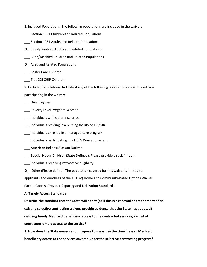- 1. Included Populations. The following populations are included in the waiver:
- Section 1931 Children and Related Populations
- \_\_\_ Section 1931 Adults and Related Populations
- **X** Blind/Disabled Adults and Related Populations
- \_\_\_ Blind/Disabled Children and Related Populations
- **X** Aged and Related Populations
- \_\_\_ Foster Care Children
- \_\_\_ Title XXI CHIP Children
- 2. Excluded Populations. Indicate if any of the following populations are excluded from

participating in the waiver:

- \_\_\_ Dual Eligibles
- \_\_\_ Poverty Level Pregnant Women
- \_\_\_ Individuals with other insurance
- \_\_\_ Individuals residing in a nursing facility or ICF/MR
- \_\_\_ Individuals enrolled in a managed care program
- \_\_\_ Individuals participating in a HCBS Waiver program
- \_\_\_ American Indians/Alaskan Natives
- \_\_\_ Special Needs Children (State Defined). Please provide this definition.
- \_\_\_ Individuals receiving retroactive eligibility
- **X** Other (Please define): The population covered for this waiver is limited to

applicants and enrollees of the 1915(c) Home and Community-Based Options Waiver.

## **Part II: Access, Provider Capacity and Utilization Standards**

**A. Timely Access Standards**

**Describe the standard that the State will adopt (or if this is a renewal or amendment of an**

**existing selective contracting waiver, provide evidence that the State has adopted)**

**defining timely Medicaid beneficiary access to the contracted services, i.e., what**

**constitutes timely access to the service?**

**1. How does the State measure (or propose to measure) the timeliness of Medicaid beneficiary access to the services covered under the selective contracting program?**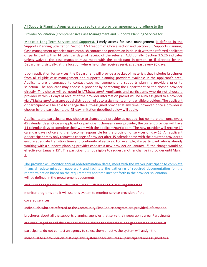All Supports Planning Agencies are required to sign a provider agreement and adhere to the

Provider Solicitation (Comprehensive Case Management and Supports Planning Services for

Medicaid Long-Term Services and Supports). Timely access for case management is defined in the Supports Planning Solicitation, Section 3.5 Freedom of Choice section and Section 3.5 Supports Planning. Case management agencies must establish contact and perform an initial visit with the referred applicant or participant within 14 calendar days of receipt of the referral. Additionally, Section 3.5.26 indicates unless waived, the case manager must meet with the participant in-person, or if directed by the Department, virtually, at the location where he or she receives services at least every 90 days.

Upon application for services, the Department will provide a packet of materials that includes brochures from all eligible case management and supports planning providers available in the applicant's area. Applicants are encouraged to contact case management and supports planning providers prior to selection. The applicant may choose a provider by contacting the Department or the chosen provider directly. This choice will be noted in LTSS*Maryland*. Applicants and participants who do not choose a provider within 21 days of receipt of the provider information packet will be auto assigned to a provider via LTSS*Maryland* to assure equal distribution of auto assignments among eligible providers. The applicant or participant will be able to change the auto-assigned provider at any time; however, once a provider is chosen by the participant, the 45-day limitation described below will apply.

Applicants and participants may choose to change their provider as needed, but no more than once every 45 calendar days. Once an applicant or participant chooses a new provider, the current provider will have 14 calendar days to complete their work with the applicant/participant. The new provider will receive 14 calendar days notice and then become responsible for the provision of services on day 15. An applicant or participant may only request a change of provider after 45 calendar days with their current provider to ensure adequate transition time and continuity of services. For example, if a participant who is already working with a supports planning provider chooses a new provider on January  $1<sup>st</sup>$ , the change would be effective on January 15th. The participant is not eligible to request another change in provider until March 1.

The provider will monitor annual redetermination dates, meet with the waiver participant to complete financial redetermination paperwork and facilitate the gathering of required documentation for the redetermination based on the requirements and timelines set forth in the provider solicitation. will be defined in the procurement documents

and provider agreements. The State uses a web-based LTSS tracking system to

monitor programs and it will use this system to monitor service provision of the

covered services.

Individuals who are referred to the Community First Choice program are provided information

brochures about all the supports planning agencies that serve their geographic area. Participants

are encouraged to call the provider of their choice to select them and get access to services. If

participants do not contact an agency to select them directly, the system will assign the

individual to a provider on 21st day. This system check ensures all participants are assigned to a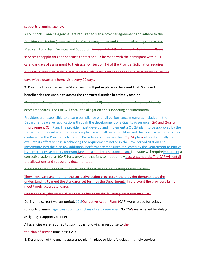supports planning agency.

All Supports Planning Agencies are required to sign a provider agreement and adhere to the Provider Solicitation (Comprehensive Case Management and Supports Planning Services for Medicaid Long-Term Services and Supports). Section 3.4 of the Provider Solicitation outlines services for applicants and specifies contact should be made with the participant within 14 calendar days of assignment to their agency. Section 3.6 of the Provider Solicitation requires supports planners to make direct contact with participants as needed and at minimum every 30 days with a quarterly home visit every 90 days.

**2. Describe the remedies the State has or will put in place in the event that Medicaid**

**beneficiaries are unable to access the contracted service in a timely fashion.**

The State will require a corrective action plan (CAP) for a provider that fails to meet timely

## access standards. The CAP will entail the allegation and supporting documentation.

Providers are responsible to ensure compliance with all performance measures included in the Department's waiver applications through the development of a Quality Assurance (QA) and Quality Improvement (QI) Plan. The provider must develop and implement a QI/QA plan, to be approved by the Department, to evaluate to ensure compliance with all responsibilities and their associated timeframes contained in the Provider Solicitation. Providers must review their QI/QA plans at least annually to evaluate its effectiveness in achieving the requirements noted in the Provider Solicitation and incorporate into the plan any additional performance measures requested by the Department as part of its comprehensive quality program. Develop a quality assusrance plan. The State will requireimplement a corrective action plan (CAP) for a provider that fails to meet timely access standards. The CAP will entail the allegations and supporting documentation.

access standards. The CAP will entail the allegation and supporting documentation.

Thewillevaluate and monitor the corrective action progresson the provider demonstrates the understanding to meet the standards set forth by the Department. In the event the providers fail to meet timely access standards

under the CAP, the State will take action based on the following procurement rules:

During the current waiver period, 12-5Corrective Action Plans (CAP) were issued for delays in

supports planning agencies submitting plans of serviceservices. No CAPs were issued for delays in

assigning a supports planner.

All agencies were required to submit the following in response to the

the plan of service timeliness CAP:

1. Description of the quality assurance plan in place to identify delays in timely services,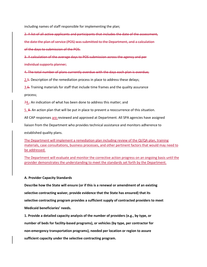including names of staff responsible for implementing the plan;

2. A list of all active applicants and participants that includes the date of the assessment,

the date the plan of service (POS) was submitted to the Department, and a calculation

of the days to submission of the POS.

3. A calculation of the average days to POS submission across the agency and per

individual supports planner;

4. The total number of plans currently overdue with the days each plan is overdue;

2.5. Description of the remediation process in place to address these delays;

3.6. Training materials for staff that include time frames and the quality assurance

process;

74.. An indication of what has been done to address this matter; and

5. 8. An action plan that will be put in place to prevent a reoccurrence of this situation.

All CAP responses are reviewed and approved at Department. All SPA agencies have assigned

liaison from the Department who provides technical assistance and monitors adherence to

established quality plans.

The Department will implement a remediation plan including review of the QI/QA plan, training materials, case consultations, business processes, and other pertinent factors that would may need to be addressed.

The Department will evaluate and monitor the corrective action progress on an ongoing basis until the provider demonstrates the understanding to meet the standards set forth by the Department.

## **A. Provider Capacity Standards**

**Describe how the State will ensure (or if this is a renewal or amendment of an existing selective contracting waiver, provide evidence that the State has ensured) that its selective contracting program provides a sufficient supply of contracted providers to meet Medicaid beneficiaries' needs.**

**1. Provide a detailed capacity analysis of the number of providers (e.g., by type, or number of beds for facility-based programs), or vehicles (by type, per contractor for non-emergency transportation programs), needed per location or region to assure sufficient capacity under the selective contracting program.**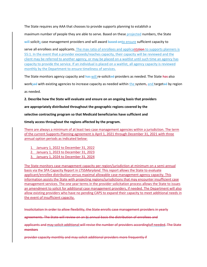The State requires any AAA that chooses to provide supports planning to establish a

maximum number of people they are able to serve. Based on these projected numbers, the State

will solicits case management providers and will award based onto ensure sufficient capacity to

serve all enrollees and applicants. The max ratio of enrollees and applicantstion to supports planners is 55:1. In the event that a provider exceeds/reaches capacity, their capacity will be reviewed and the client may be referred to another agency, or may be placed on a waitlist until such time an agency has capacity to provide the service. If an individual is placed on a waitlist, all agency capacity is reviewed monthly by the Department to ensure timeliness of services.

The State monitors agency capacity and has will re-solicited providers as needed. The State has also

worksed with existing agencies to increase capacity as needed within the system, and targeted by region

as needed.

**2. Describe how the State will evaluate and ensure on an ongoing basis that providers**

**are appropriately distributed throughout the geographic regions covered by the**

**selective contracting program so that Medicaid beneficiaries have sufficient and**

**timely access throughout the regions affected by the program.**

There are always a minimum of at least two case management agencies within a jurisdiction. The term of the current Supports Planning agreement is April 1, 2021 through December 31, 2021 with three annual option periods as indicated below:

- 1. January 1, 2022 to December 31, 2022
- 2. January 1, 2023 to December 31, 2023
- 3. January 1, 2024 to December 31, 2024

The State monitors case management capacity per region/jurisdiction at minimum on a semi-annual basis via the SPA Capacity Report in LTSS*Maryland.* This report allows the State to evaluate applicant/enrollee distribution versus maximal allowable case management agency capacity. This information assists the State with projecting regions/jurisdictions that may encounter insufficient case management services. The one year terms in the provider solicitation process allows the State to issues an amendment to solicit for additional case management providers, if needed. The Department will also allow existing providers who have no pending CAPS to expand their capacity to meet additional needs in the event of insufficient capacity.

Insolicitation In order to allow flexibility, the State enrolls case management providers in yearly

agreements. The State will review on an bi-annual basis the distribution of enrollees and

applicants and may solicit additional will revise the number of providers accordinglyif needed. The State **monitors** 

provider capacity monthly and may solicit additional providers more frequently if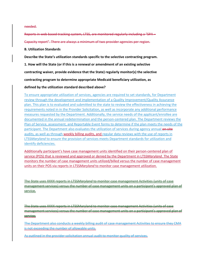needed.

Reports in web based tracking system, LTSS, are monitored regularly including a "SPA – Capacity report". There are always a minimum of two provider agencies per region.

**B. Utilization Standards**

**Describe the State's utilization standards specific to the selective contracting program.**

**1. How will the State (or if this is a renewal or amendment of an existing selective**

**contracting waiver, provide evidence that the State) regularly monitor(s) the selective**

**contracting program to determine appropriate Medicaid beneficiary utilization, as**

#### **defined by the utilization standard described above?**

To ensure appropriate utilization of services, agencies are required to set standards, for Department review through the development and implementation of a Quality Improvement/Quality Assurance plan. This plan is to evaluated and submitted to the state to review the effectiveness in achieving the requirements noted in in the Provider Solicitation, as well as incorporate any additional performance measures requested by the Department. Additionally, the service needs of the applicant/enrollee are documented in the annual redetermination and the person-centered plan. The Department reviews the Plan of Service, assessment, and Reportable Event forms to determine if the plan meets the needs of the participant. The Department also evaluates the utilization of services during agency annual on-site audits, as well as through weekly billing audits, and regular data reviews with the use of reports in LTSS*Maryland* to ensure the provision of services meets Department standards for utilization and identify deficiencies.

Additionally participant's have case management units identified on their person-centered plan of service (POS) that is reviewed and approved or denied by the Department in LTSS*Maryland*. The State monitors the number of case management units utilized/billed versus the number of case management units on their POS via reports in LTSS*Maryland* to monitor case management utilization.

The State uses XXXX reports in LTSS*Maryland* to monitor case management Activities (units of case management services) versus the number of case management units on a participant's approved plan of service.

The State uses XXXX reports in LTSSMaryland to monitor case management Activities (units of case management services) versus the number of case management units on a participant's approved plan of service.

The Department also conducts a weekly billing audit of case management Activiites to ensure they CMA is not exceeding the number of allowable units.

As outlined in the provider solicitation annual audit to monitor quality of services.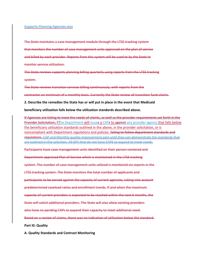#### Supports Planning Agencies also

The State maintains a case management module through the LTSS tracking system that monitors the number of case management units approved on the plan of service and billed by each provider. Reports from this system will be used to by the State to monitor service utilization.

The State reviews supports planning billing quarterly using reports from the LTSS tracking system.

The State reviews transition services billing continuously, with reports from the contractor on minimum of a monthly basis. Currently the State review all transition fund claims.

#### **2. Describe the remedies the State has or will put in place in the event that Medicaid**

#### **beneficiary utilization falls below the utilization standards described above.**

If Agencies are failing to meet the needs of clients, as well as the provider requirements set forth in the Provider Solicitation, TThe Department will issues a CAPs to against any provider agency that falls below the beneficiary utilization standards outlined in the above, in the provider solicitation, or is noncompliant with Department regulations and policies. failing to follow department standards and regulations. CAP and Monthly quality improvement paln until they can demonstrate the standards that are outlined in the solicition. All SPA that do not have CAPS to expand to meet needs. Participants have case management units identified on their person-centered and Department-approved Plan of Service which is maintained in the LTSS tracking system. The number of case management units utilized is monitored via reports in the LTSS tracking system. The State monitors the total number of applicants and

participants to be served against the capacity of current agencies, taking into account

predetermined caseload ratios and enrollment trends. If and when the maximum

capacity of current providers is expected to be reached within the next 6 months, the

State will solicit additional providers. The State will also allow existing providers

who have no pending CAPs to expand their capacity to meet additional need.

Based on a review of claims, there was no indication of utilization below the standard.

**Part III: Quality**

**A. Quality Standards and Contract Monitoring**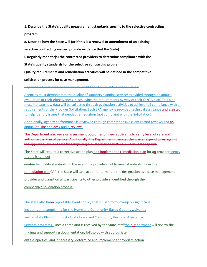**1. Describe the State's quality measurement standards specific to the selective contracting program.**

**a. Describe how the State will (or if this is a renewal or amendment of an existing**

**selective contracting waiver, provide evidence that the State):**

**i. Regularly monitor(s) the contracted providers to determine compliance with the**

**State's quality standards for the selective contracting program.**

**Quality requirements and remediation activities will be defined in the competitive**

**solicitation process for case management.**

Reportable Event process and annual audit based on quality from solication.

Agencies must demonstrate the quality of supports planning services provided through an annual evaluation of their effectiveness in achieving the requirements by way of their QI/QA plan. This plan must indicate how data will be collected through evaluation activities to achieve full compliance with all requirements of the Provider Solicitation. Each SPA agency is provided technical assistance and assisted to help identify issues that needed remediation (not complaint with the Solicitation).

Additionally, agency performance is reviewed through comprehensive client record reviews and an annual on-site and desk audit. reviews.

The Department also reviews assessment outcomes on new applicants to verify level of care and authorize the Plan of Service. Additionally, the Department manages the waiver expenditures against the approved levels of care by comparing the information with paid claims data reports.

The State will require a corrective action plan and implement a remediation plan for an provideragency that fails to meet

guality the quality standards. In the event the providers fail to meet standards under the

remediation planCAP, the State will take action to terminate the designation as a case management

provider and transition all participants to other providers identified through the

competitive solicitation process.

The state also has-a reportable events policy that is used to follow-up on significant incidents and complaints for the Home and Community-Based Options waiver as well as State Plan Community First Choice and Community Personal Assistance Services programs. Once a complaint is received by the State, staff the dDepartment will review the findings and supporting documentation, follow-up with appropriate entities/parties, and if necessary, determine and implement appropriate action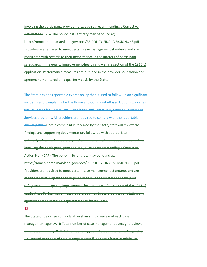involving the participant, provider, etc., such as recommending a Corrective Action Plan (CAP). The policy in its entirety may be found at; https://mmcp.dhmh.maryland.gov/docs/RE-POLICY-FINAL-VERSIONOHS.pdf Providers are required to meet certain case management standards and are monitored with regards to their performance in the matters of participant safeguards in the quality improvement-health and welfare section of the 1915(c) application. Performance measures are outlined in the provider solicitation and agreement monitored on a quarterly basis by the State.

The State has one reportable events policy that is used to follow-up on significant incidents and complaints for the Home and Community-Based Options waiver as well as State Plan Community First Choice and Community Personal Assistance Services programs. All providers are required to comply with the reportable events policy. Once a complaint is received by the State, staff will review the findings and supporting documentation, follow-up with appropriate entities/parties, and if necessary, determine and implement appropriate action involving the participant, provider, etc., such as recommending a Corrective Action Plan (CAP). The policy in its entirety may be found at; https://mmcp.dhmh.maryland.gov/docs/RE-POLICY-FINAL-VERSIONOHS.pdf Providers are required to meet certain case management standards and are monitored with regards to their performance in the matters of participant safeguards in the quality improvement-health and welfare section of the 1915(c) application. Performance measures are outlined in the provider solicitation and agreement monitored on a quarterly basis by the State.

12

The State or designee conducts at least an annual review of each case management agency. N: Total number of case management oversight reviews completed annually. D: Total number of approved case management agencies. Unlicensed providers of case management will be sent a letter of minimum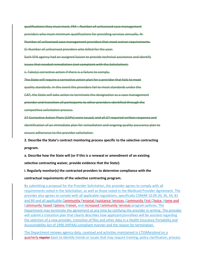qualifications they must meet. PM – Number of unlicensed case management providers who meet minimum qualifications for providing services annually. N: Number of unlicensed case management providers that meet waiver requirements. D: Number of unlicensed providers who billed for the year. Each SPA agency had an assigned liaison to provide technical assistance and identify

issues that needed remediation (not complaint with the Solicitation).

ii. Take(s) corrective action if there is a failure to comply.

The State will require a corrective action plan for a provider that fails to meet

quality standards. In the event the providers fail to meet standards under the

CAP, the State will take action to terminate the designation as a case management

provider and transition all participants to other providers identified through the

competitive solicitation process.

37 Corrective Action Plans (CAPs) were issued, and all 37 required written response and

identification of an immediate plan for remediation and ongoing quality assurance plan to

ensure adherence to the provider solicitation.

**2. Describe the State's contract monitoring process specific to the selective contracting program.**

**a. Describe how the State will (or if this is a renewal or amendment of an existing**

**selective contracting waiver, provide evidence that the State):**

**i. Regularly monitor(s) the contracted providers to determine compliance with the**

**contractual requirements of the selective contracting program.**

By submitting a proposal for the Provider Solicitation, the provider agrees to comply with all requirements noted in the Solicitation, as well as those noted in the Medicaid Provider Agreement. The provider also agrees to comply with all applicable regulations, specifically COMAR 10.09.20, 36, 54, 81 and 84 and all applicable Community Personal Assistance Services, Community First Choice, Home and Community Based Options Waiver, and Increased Community Services program policies. The Department may terminate the agreement at any time by notifying the provider in writing. The provider will submit a transition plan that clearly describes how applicants/enrollees will be assisted regarding the selection of a new provider, transition of files and other data in a Health Insurance Portability and Accountability Act of 1996 (HIPAA)-compliant manner and the reason for termination.

The Department reviews agency data, caseload and activities maintained in LTSS*Maryland* on a quarterly regular basis to identify trends or issues that may require training, policy clarification, process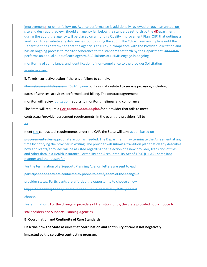improvements, or other follow-up. Agency performance is additionally reviewed through an annual onsite and desk audit review. Should an agency fall below the standards set forth by the **dDepartment** during the audit, the agency will be placed on a monthly Quality Improvement Plan (QIP) that outlines a work plan to remediate any deficiencies found during the audit. The QIP will remain in place until the Department has determined that the agency is at 100% in compliance with the Provider Solicitation and has an ongoing process to monitor adherence to the standards set forth by the Department. The State performs an annual audit of each agency. SPA liaisons at DHMH engage in ongoing

monitoring of compliance, and identification of non-compliance to the provider Solicitation

results in CAPs.

ii. Take(s) corrective action if there is a failure to comply.

The web-based LTSS systemLTSS*Maryland* contains data related to service provision, including

dates of services, activities performed, and billing. The contract/agreement

monitor will review *utilization* reports to monitor timeliness and compliance.

The State will require a CAP corrective action plan for a provider that fails to meet

contractual/provider agreement requirements. In the event the providers fail to

## 13

meet the contractual requirements under the CAP, the State will take action based on

procurement rules.appropriate action as needed. The Department may terminate the Agreement at any time by notifying the provider in writing. The provider will submit a transition plan that clearly describes how applicants/enrollees will be assisted regarding the selection of a new provider, transition of files and other data in a Health Insurance Portability and Accountability Act of 1996 (HIPAA)-compliant manner and the reason for

For the termination of a Supports Planning Agency, letters are sent to each participant and they are contacted by phone to notify them of the change in provider status. Participants are afforded the opportunity to choose a new Supports Planning Agency, or are assigned one automatically if they do not choose. Fortermination. For the change in providers of transition funds, the State provided public notice to

stakeholders and Supports Planning Agencies.

## **B. Coordination and Continuity of Care Standards**

**Describe how the State assures that coordination and continuity of care is not negatively**

**impacted by the selective contracting program.**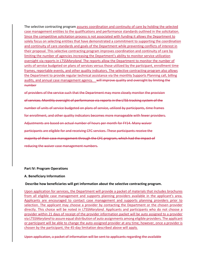The selective contracting program assures coordination and continuity of care by holding the selected case management entities to the qualifications and performance standards outlined in the solicitation. Since the competitive solicitation process is not associated with funding it allows the Department to solely focus on selecting entities that have demonstrated a commitment to supporting the coordination and continuity of care standards and goals of the Department while preventing conflicts of interest in their proposal. This selective contracting program improves coordination and continuity of care by limiting the number of agencies increasing the Department's ability to monitor service utilization oversight via reports in LTSS*Maryland.* The reports allow the Department to monitor the number of units of service budgeted on plans of services versus those utilized by the participant, enrollment time frames, reportable events*,* and other quality indicators. The selective contracting program also allows the Department to provide regular technical assistance via the monthly Supports Planning call, billing audits, and annual case management agency. will improve quality and oversight by limiting the number

of providers of the service such that the Department may more closely monitor the provision of services. Monthly oversight of performance via reports in the LTSS tracking system of the number of units of service budgeted on plans of service, utilized by participants, time frames for enrollment, and other quality indicators becomes more manageable with fewer providers. Adjustments are based on actual number of hours per month for FY14. Many waiver participants are eligible for and receiving CFC services. These participants receive the majority of their case management through the CFC program, which had the impact of reducing the waiver case management numbers.

## **Part IV: Program Operations**

#### **A. Beneficiary Information**

## **Describe how beneficiaries will get information about the selective contracting program.**

Upon application for services, the Department will provide a packet of materials that includes brochures from all eligible case management and supports planning providers available in the applicant's area. Applicants are encouraged to contact case management and supports planning providers prior to selection. The applicant may choose a provider by contacting the Department or the chosen provider directly. This choice will be noted in LTSS*Maryland*. Applicants and participants who do not choose a provider within 21 days of receipt of the provider information packet will be auto assigned to a provider via LTSS*Maryland* to assure equal distribution of auto assignments among eligible providers. The applicant or participant will be able to change the auto-assigned provider at any time; however, once a provider is chosen by the participant, the 45-day limitation described above will apply.

Upon application, a packet of information will be sent to applicants regarding the available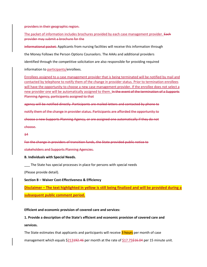providers in their geographic region.

The packet of information includes brochures provided by each case management provider. Each provider may submit a brochure for the

informational packet. Applicants from nursing facilities will receive this information through

the Money Follows the Person Options Counselors. The AAAs and additional providers

identified through the competitive solicitation are also responsible for providing required

information to participants/enrollees.

Enrollees assigned to a case management provider that is being terminated will be notified by mail and contacted by telephone to notify them of the change in provider status. Prior to termination enrollees will have the opportunity to choose a new case management provider. If the enrollee does not select a new provider one will be automatically assigned to them. In the event of the termination of a Supports Planning Agency, participants assigned to that

agency will be notified directly. Participants are mailed letters and contacted by phone to

notify them of the change in provider status. Participants are afforded the opportunity to

choose a new Supports Planning Agency, or are assigned one automatically if they do not choose.

14

For the change in providers of transition funds, the State provided public notice to

stakeholders and Supports Planning Agencies.

**B. Individuals with Special Needs.**

The State has special processes in place for persons with special needs

(Please provide detail).

**Section B – Waiver Cost-Effectiveness & Efficiency**

**Disclaimer – The text highlighted in yellow is still being finalized and will be provided during a subsequent public comment period.**

**Efficient and economic provision of covered care and services:**

**1. Provide a description of the State's efficient and economic provision of covered care and services.**

The State estimates that applicants and participants will receive 3 hours per month of case

management which equals \$213<del>192.46</del> per month at the rate of \$17.75<del>\$16.04</del> per 15 minute unit.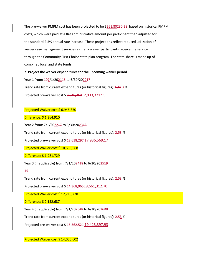The pre-waiver PMPM cost has been projected to be \$261.80<del>230.28</del>, based on historical PMPM costs, which were paid at a flat administrative amount per participant then adjusted for the standard 2.5% annual rate increase. These projections reflect reduced utilization of waiver case management services as many waiver participants receive the service through the Community First Choice state plan program. The state share is made up of combined local and state funds.

**2. Project the waiver expenditures for the upcoming waiver period.**

Year 1 from:  $\frac{107}{1202116}$  to 6/30/202217

Trend rate from current expenditures (or historical figures):  $N/A$  3 %

Projected pre-waiver cost \$ 8,310,76012,933,371.95

## Projected Waiver cost \$ 6,945,850

Difference: \$ 1,364,910

Year 2 from: 7/1/202217 to 6/30/202318

Trend rate from current expenditures (or historical figures): 2.53 %

Projected pre-waiver cost \$ 12,618,297 17,936,569.17

Projected Waiver cost \$ 10,636,568

## Difference: \$ 1,981,729

Year 3 (if applicable) from: 7/1/202418 to 6/30/202519

## 15

Trend rate from current expenditures (or historical figures): 2.53 %

Projected pre-waiver cost \$ 14,368,96518,661,312.70

Projected Waiver cost \$ 12,216,278

Difference: \$ 2,152,687

Year 4 (if applicable) from: 7/1/202519 to 6/30/202620

Trend rate from current expenditures (or historical figures): 2.53 %

Projected pre-waiver cost \$ 16,362,521 19,413,397.93